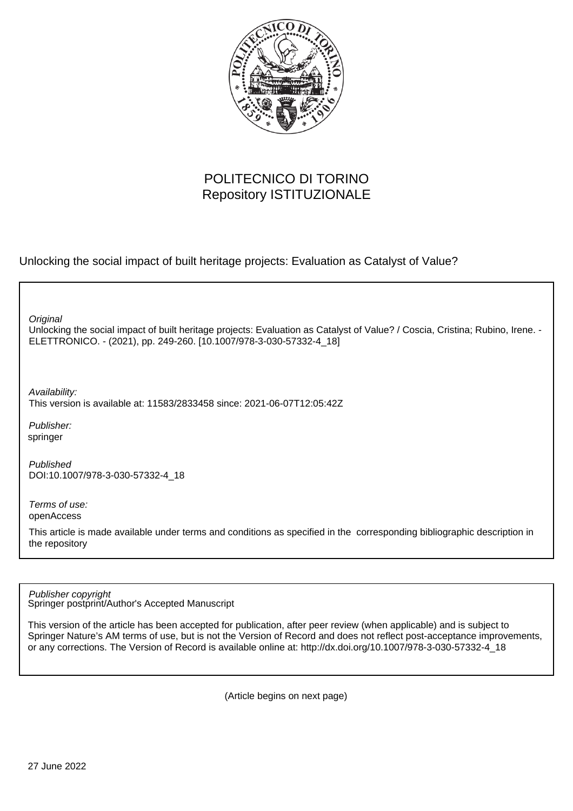

# POLITECNICO DI TORINO Repository ISTITUZIONALE

Unlocking the social impact of built heritage projects: Evaluation as Catalyst of Value?

**Original** 

Unlocking the social impact of built heritage projects: Evaluation as Catalyst of Value? / Coscia, Cristina; Rubino, Irene. - ELETTRONICO. - (2021), pp. 249-260. [10.1007/978-3-030-57332-4\_18]

Availability: This version is available at: 11583/2833458 since: 2021-06-07T12:05:42Z

Publisher: springer

Published DOI:10.1007/978-3-030-57332-4\_18

Terms of use: openAccess

This article is made available under terms and conditions as specified in the corresponding bibliographic description in the repository

Springer postprint/Author's Accepted Manuscript Publisher copyright

This version of the article has been accepted for publication, after peer review (when applicable) and is subject to Springer Nature's AM terms of use, but is not the Version of Record and does not reflect post-acceptance improvements, or any corrections. The Version of Record is available online at: http://dx.doi.org/10.1007/978-3-030-57332-4\_18

(Article begins on next page)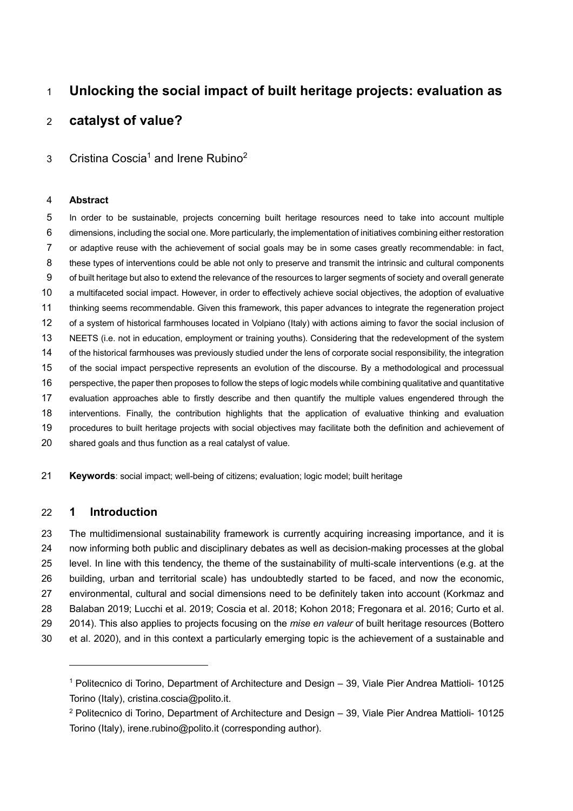# **Unlocking the social impact of built heritage projects: evaluation as**

## **catalyst of value?**

## 3 Cristina Coscia<sup>1</sup> and Irene Rubino<sup>2</sup>

#### **Abstract**

 In order to be sustainable, projects concerning built heritage resources need to take into account multiple dimensions, including the social one. More particularly, the implementation of initiatives combining either restoration or adaptive reuse with the achievement of social goals may be in some cases greatly recommendable: in fact, 8 these types of interventions could be able not only to preserve and transmit the intrinsic and cultural components of built heritage but also to extend the relevance of the resources to larger segments of society and overall generate a multifaceted social impact. However, in order to effectively achieve social objectives, the adoption of evaluative thinking seems recommendable. Given this framework, this paper advances to integrate the regeneration project of a system of historical farmhouses located in Volpiano (Italy) with actions aiming to favor the social inclusion of NEETS (i.e. not in education, employment or training youths). Considering that the redevelopment of the system of the historical farmhouses was previously studied under the lens of corporate social responsibility, the integration of the social impact perspective represents an evolution of the discourse. By a methodological and processual perspective, the paper then proposes to follow the steps of logic models while combining qualitative and quantitative evaluation approaches able to firstly describe and then quantify the multiple values engendered through the interventions. Finally, the contribution highlights that the application of evaluative thinking and evaluation procedures to built heritage projects with social objectives may facilitate both the definition and achievement of shared goals and thus function as a real catalyst of value.

**Keywords**: social impact; well-being of citizens; evaluation; logic model; built heritage

## **1 Introduction**

 The multidimensional sustainability framework is currently acquiring increasing importance, and it is now informing both public and disciplinary debates as well as decision-making processes at the global level. In line with this tendency, the theme of the sustainability of multi-scale interventions (e.g. at the building, urban and territorial scale) has undoubtedly started to be faced, and now the economic, environmental, cultural and social dimensions need to be definitely taken into account (Korkmaz and Balaban 2019; Lucchi et al. 2019; Coscia et al. 2018; Kohon 2018; Fregonara et al. 2016; Curto et al. 2014). This also applies to projects focusing on the *mise en valeur* of built heritage resources (Bottero et al. 2020), and in this context a particularly emerging topic is the achievement of a sustainable and

 Politecnico di Torino, Department of Architecture and Design – 39, Viale Pier Andrea Mattioli- 10125 Torino (Italy), cristina.coscia@polito.it.

 Politecnico di Torino, Department of Architecture and Design – 39, Viale Pier Andrea Mattioli- 10125 Torino (Italy), irene.rubino@polito.it (corresponding author).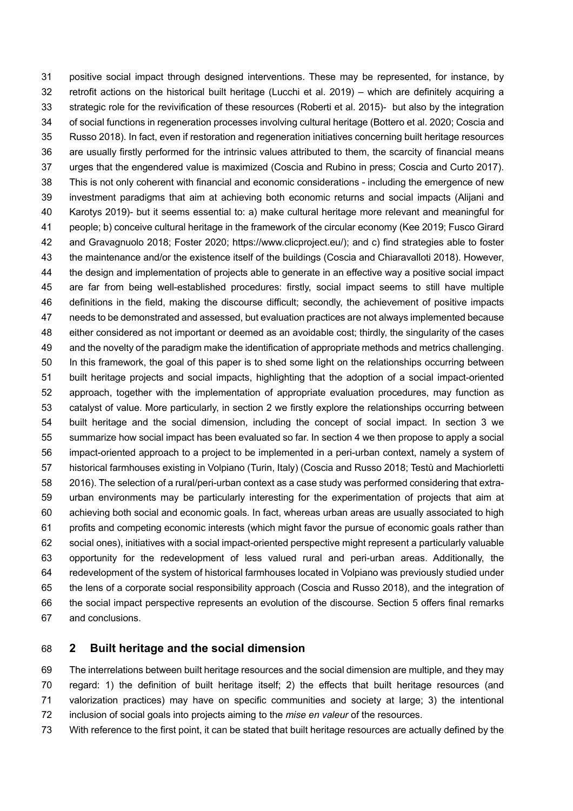positive social impact through designed interventions. These may be represented, for instance, by retrofit actions on the historical built heritage (Lucchi et al. 2019) – which are definitely acquiring a strategic role for the revivification of these resources (Roberti et al. 2015)- but also by the integration of social functions in regeneration processes involving cultural heritage (Bottero et al. 2020; Coscia and Russo 2018). In fact, even if restoration and regeneration initiatives concerning built heritage resources are usually firstly performed for the intrinsic values attributed to them, the scarcity of financial means urges that the engendered value is maximized (Coscia and Rubino in press; Coscia and Curto 2017). This is not only coherent with financial and economic considerations - including the emergence of new investment paradigms that aim at achieving both economic returns and social impacts (Alijani and Karotys 2019)- but it seems essential to: a) make cultural heritage more relevant and meaningful for people; b) conceive cultural heritage in the framework of the circular economy (Kee 2019; Fusco Girard and Gravagnuolo 2018; Foster 2020; https://www.clicproject.eu/); and c) find strategies able to foster the maintenance and/or the existence itself of the buildings (Coscia and Chiaravalloti 2018). However, the design and implementation of projects able to generate in an effective way a positive social impact are far from being well-established procedures: firstly, social impact seems to still have multiple definitions in the field, making the discourse difficult; secondly, the achievement of positive impacts needs to be demonstrated and assessed, but evaluation practices are not always implemented because either considered as not important or deemed as an avoidable cost; thirdly, the singularity of the cases and the novelty of the paradigm make the identification of appropriate methods and metrics challenging. In this framework, the goal of this paper is to shed some light on the relationships occurring between built heritage projects and social impacts, highlighting that the adoption of a social impact-oriented approach, together with the implementation of appropriate evaluation procedures, may function as catalyst of value. More particularly, in section 2 we firstly explore the relationships occurring between built heritage and the social dimension, including the concept of social impact. In section 3 we summarize how social impact has been evaluated so far. In section 4 we then propose to apply a social impact-oriented approach to a project to be implemented in a peri-urban context, namely a system of historical farmhouses existing in Volpiano (Turin, Italy) (Coscia and Russo 2018; Testù and Machiorletti 2016). The selection of a rural/peri-urban context as a case study was performed considering that extra- urban environments may be particularly interesting for the experimentation of projects that aim at achieving both social and economic goals. In fact, whereas urban areas are usually associated to high profits and competing economic interests (which might favor the pursue of economic goals rather than social ones), initiatives with a social impact-oriented perspective might represent a particularly valuable opportunity for the redevelopment of less valued rural and peri-urban areas. Additionally, the redevelopment of the system of historical farmhouses located in Volpiano was previously studied under the lens of a corporate social responsibility approach (Coscia and Russo 2018), and the integration of the social impact perspective represents an evolution of the discourse. Section 5 offers final remarks and conclusions.

#### **2 Built heritage and the social dimension**

 The interrelations between built heritage resources and the social dimension are multiple, and they may regard: 1) the definition of built heritage itself; 2) the effects that built heritage resources (and valorization practices) may have on specific communities and society at large; 3) the intentional inclusion of social goals into projects aiming to the *mise en valeur* of the resources.

With reference to the first point, it can be stated that built heritage resources are actually defined by the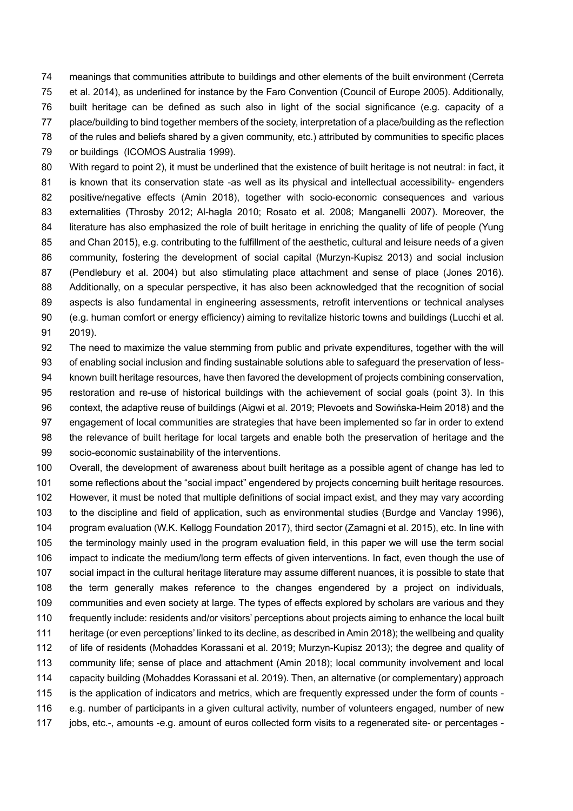meanings that communities attribute to buildings and other elements of the built environment (Cerreta et al. 2014), as underlined for instance by the Faro Convention (Council of Europe 2005). Additionally, built heritage can be defined as such also in light of the social significance (e.g. capacity of a place/building to bind together members of the society, interpretation of a place/building as the reflection of the rules and beliefs shared by a given community, etc.) attributed by communities to specific places or buildings (ICOMOS Australia 1999).

 With regard to point 2), it must be underlined that the existence of built heritage is not neutral: in fact, it 81 is known that its conservation state -as well as its physical and intellectual accessibility- engenders positive/negative effects (Amin 2018), together with socio-economic consequences and various externalities (Throsby 2012; Al-hagla 2010; Rosato et al. 2008; Manganelli 2007). Moreover, the literature has also emphasized the role of built heritage in enriching the quality of life of people (Yung 85 and Chan 2015), e.g. contributing to the fulfillment of the aesthetic, cultural and leisure needs of a given community, fostering the development of social capital (Murzyn-Kupisz 2013) and social inclusion (Pendlebury et al. 2004) but also stimulating place attachment and sense of place (Jones 2016). Additionally, on a specular perspective, it has also been acknowledged that the recognition of social aspects is also fundamental in engineering assessments, retrofit interventions or technical analyses (e.g. human comfort or energy efficiency) aiming to revitalize historic towns and buildings (Lucchi et al. 2019).

 The need to maximize the value stemming from public and private expenditures, together with the will of enabling social inclusion and finding sustainable solutions able to safeguard the preservation of less- known built heritage resources, have then favored the development of projects combining conservation, restoration and re-use of historical buildings with the achievement of social goals (point 3). In this context, the adaptive reuse of buildings (Aigwi et al. 2019; Plevoets and Sowińska-Heim 2018) and the engagement of local communities are strategies that have been implemented so far in order to extend the relevance of built heritage for local targets and enable both the preservation of heritage and the socio-economic sustainability of the interventions.

 Overall, the development of awareness about built heritage as a possible agent of change has led to some reflections about the "social impact" engendered by projects concerning built heritage resources. However, it must be noted that multiple definitions of social impact exist, and they may vary according to the discipline and field of application, such as environmental studies (Burdge and Vanclay 1996), program evaluation (W.K. Kellogg Foundation 2017), third sector (Zamagni et al. 2015), etc. In line with the terminology mainly used in the program evaluation field, in this paper we will use the term social impact to indicate the medium/long term effects of given interventions. In fact, even though the use of social impact in the cultural heritage literature may assume different nuances, it is possible to state that the term generally makes reference to the changes engendered by a project on individuals, communities and even society at large. The types of effects explored by scholars are various and they frequently include: residents and/or visitors' perceptions about projects aiming to enhance the local built heritage (or even perceptions' linked to its decline, as described in Amin 2018); the wellbeing and quality of life of residents (Mohaddes Korassani et al. 2019; Murzyn-Kupisz 2013); the degree and quality of community life; sense of place and attachment (Amin 2018); local community involvement and local capacity building (Mohaddes Korassani et al. 2019). Then, an alternative (or complementary) approach is the application of indicators and metrics, which are frequently expressed under the form of counts - e.g. number of participants in a given cultural activity, number of volunteers engaged, number of new 117 jobs, etc.-, amounts -e.g. amount of euros collected form visits to a regenerated site- or percentages -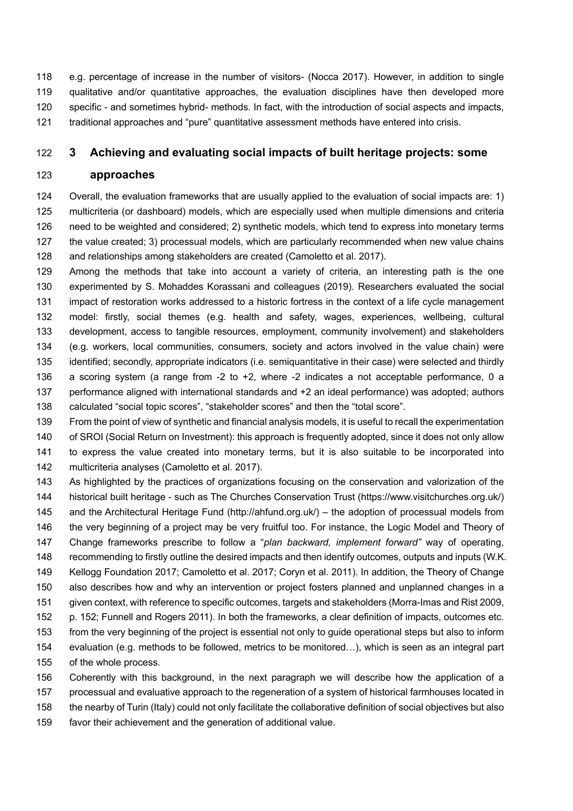e.g. percentage of increase in the number of visitors- (Nocca 2017). However, in addition to single qualitative and/or quantitative approaches, the evaluation disciplines have then developed more specific - and sometimes hybrid- methods. In fact, with the introduction of social aspects and impacts, traditional approaches and "pure" quantitative assessment methods have entered into crisis.

## **3 Achieving and evaluating social impacts of built heritage projects: some**

#### **approaches**

 Overall, the evaluation frameworks that are usually applied to the evaluation of social impacts are: 1) multicriteria (or dashboard) models, which are especially used when multiple dimensions and criteria need to be weighted and considered; 2) synthetic models, which tend to express into monetary terms the value created; 3) processual models, which are particularly recommended when new value chains and relationships among stakeholders are created (Camoletto et al. 2017).

 Among the methods that take into account a variety of criteria, an interesting path is the one experimented by S. Mohaddes Korassani and colleagues (2019). Researchers evaluated the social impact of restoration works addressed to a historic fortress in the context of a life cycle management model: firstly, social themes (e.g. health and safety, wages, experiences, wellbeing, cultural development, access to tangible resources, employment, community involvement) and stakeholders (e.g. workers, local communities, consumers, society and actors involved in the value chain) were identified; secondly, appropriate indicators (i.e. semiquantitative in their case) were selected and thirdly a scoring system (a range from -2 to +2, where -2 indicates a not acceptable performance, 0 a performance aligned with international standards and +2 an ideal performance) was adopted; authors calculated "social topic scores", "stakeholder scores" and then the "total score".

 From the point of view of synthetic and financial analysis models, it is useful to recall the experimentation 140 of SROI (Social Return on Investment): this approach is frequently adopted, since it does not only allow to express the value created into monetary terms, but it is also suitable to be incorporated into multicriteria analyses (Camoletto et al. 2017).

- As highlighted by the practices of organizations focusing on the conservation and valorization of the historical built heritage - such as The Churches Conservation Trust (https://www.visitchurches.org.uk/) and the Architectural Heritage Fund (http://ahfund.org.uk/) – the adoption of processual models from the very beginning of a project may be very fruitful too. For instance, the Logic Model and Theory of Change frameworks prescribe to follow a "*plan backward, implement forward"* way of operating, recommending to firstly outline the desired impacts and then identify outcomes, outputs and inputs (W.K. Kellogg Foundation 2017; Camoletto et al. 2017; Coryn et al. 2011). In addition, the Theory of Change also describes how and why an intervention or project fosters planned and unplanned changes in a given context, with reference to specific outcomes, targets and stakeholders (Morra-Imas and Rist 2009, p. 152; Funnell and Rogers 2011). In both the frameworks, a clear definition of impacts, outcomes etc. from the very beginning of the project is essential not only to guide operational steps but also to inform
- evaluation (e.g. methods to be followed, metrics to be monitored…), which is seen as an integral part of the whole process.
- Coherently with this background, in the next paragraph we will describe how the application of a
- processual and evaluative approach to the regeneration of a system of historical farmhouses located in
- the nearby of Turin (Italy) could not only facilitate the collaborative definition of social objectives but also
- favor their achievement and the generation of additional value.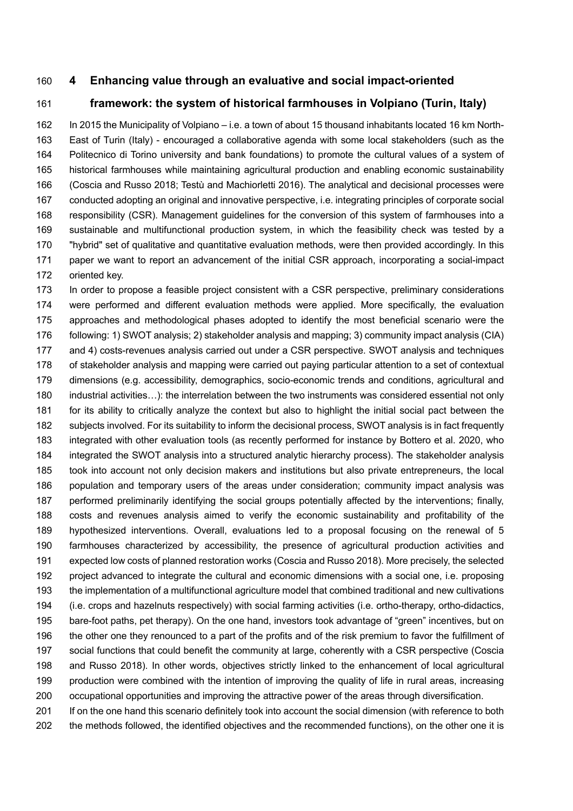#### **4 Enhancing value through an evaluative and social impact-oriented**

## **framework: the system of historical farmhouses in Volpiano (Turin, Italy)**

 In 2015 the Municipality of Volpiano – i.e. a town of about 15 thousand inhabitants located 16 km North- East of Turin (Italy) - encouraged a collaborative agenda with some local stakeholders (such as the Politecnico di Torino university and bank foundations) to promote the cultural values of a system of historical farmhouses while maintaining agricultural production and enabling economic sustainability (Coscia and Russo 2018; Testù and Machiorletti 2016). The analytical and decisional processes were conducted adopting an original and innovative perspective, i.e. integrating principles of corporate social responsibility (CSR). Management guidelines for the conversion of this system of farmhouses into a sustainable and multifunctional production system, in which the feasibility check was tested by a "hybrid" set of qualitative and quantitative evaluation methods, were then provided accordingly. In this paper we want to report an advancement of the initial CSR approach, incorporating a social-impact oriented key.

 In order to propose a feasible project consistent with a CSR perspective, preliminary considerations were performed and different evaluation methods were applied. More specifically, the evaluation approaches and methodological phases adopted to identify the most beneficial scenario were the following: 1) SWOT analysis; 2) stakeholder analysis and mapping; 3) community impact analysis (CIA) and 4) costs-revenues analysis carried out under a CSR perspective. SWOT analysis and techniques of stakeholder analysis and mapping were carried out paying particular attention to a set of contextual dimensions (e.g. accessibility, demographics, socio-economic trends and conditions, agricultural and industrial activities…): the interrelation between the two instruments was considered essential not only for its ability to critically analyze the context but also to highlight the initial social pact between the subjects involved. For its suitability to inform the decisional process, SWOT analysis is in fact frequently integrated with other evaluation tools (as recently performed for instance by Bottero et al. 2020, who integrated the SWOT analysis into a structured analytic hierarchy process). The stakeholder analysis took into account not only decision makers and institutions but also private entrepreneurs, the local population and temporary users of the areas under consideration; community impact analysis was performed preliminarily identifying the social groups potentially affected by the interventions; finally, costs and revenues analysis aimed to verify the economic sustainability and profitability of the hypothesized interventions. Overall, evaluations led to a proposal focusing on the renewal of 5 farmhouses characterized by accessibility, the presence of agricultural production activities and expected low costs of planned restoration works (Coscia and Russo 2018). More precisely, the selected project advanced to integrate the cultural and economic dimensions with a social one, i.e. proposing the implementation of a multifunctional agriculture model that combined traditional and new cultivations (i.e. crops and hazelnuts respectively) with social farming activities (i.e. ortho-therapy, ortho-didactics, bare-foot paths, pet therapy). On the one hand, investors took advantage of "green" incentives, but on the other one they renounced to a part of the profits and of the risk premium to favor the fulfillment of social functions that could benefit the community at large, coherently with a CSR perspective (Coscia and Russo 2018). In other words, objectives strictly linked to the enhancement of local agricultural production were combined with the intention of improving the quality of life in rural areas, increasing occupational opportunities and improving the attractive power of the areas through diversification. If on the one hand this scenario definitely took into account the social dimension (with reference to both

the methods followed, the identified objectives and the recommended functions), on the other one it is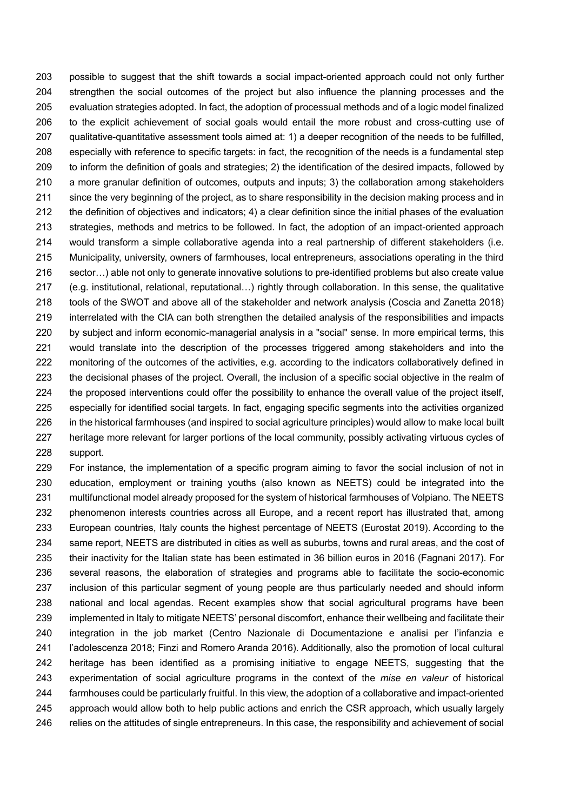possible to suggest that the shift towards a social impact-oriented approach could not only further strengthen the social outcomes of the project but also influence the planning processes and the evaluation strategies adopted. In fact, the adoption of processual methods and of a logic model finalized to the explicit achievement of social goals would entail the more robust and cross-cutting use of qualitative-quantitative assessment tools aimed at: 1) a deeper recognition of the needs to be fulfilled, especially with reference to specific targets: in fact, the recognition of the needs is a fundamental step to inform the definition of goals and strategies; 2) the identification of the desired impacts, followed by a more granular definition of outcomes, outputs and inputs; 3) the collaboration among stakeholders since the very beginning of the project, as to share responsibility in the decision making process and in the definition of objectives and indicators; 4) a clear definition since the initial phases of the evaluation strategies, methods and metrics to be followed. In fact, the adoption of an impact-oriented approach would transform a simple collaborative agenda into a real partnership of different stakeholders (i.e. Municipality, university, owners of farmhouses, local entrepreneurs, associations operating in the third sector…) able not only to generate innovative solutions to pre-identified problems but also create value (e.g. institutional, relational, reputational…) rightly through collaboration. In this sense, the qualitative tools of the SWOT and above all of the stakeholder and network analysis (Coscia and Zanetta 2018) interrelated with the CIA can both strengthen the detailed analysis of the responsibilities and impacts by subject and inform economic-managerial analysis in a "social" sense. In more empirical terms, this would translate into the description of the processes triggered among stakeholders and into the monitoring of the outcomes of the activities, e.g. according to the indicators collaboratively defined in the decisional phases of the project. Overall, the inclusion of a specific social objective in the realm of the proposed interventions could offer the possibility to enhance the overall value of the project itself, especially for identified social targets. In fact, engaging specific segments into the activities organized in the historical farmhouses (and inspired to social agriculture principles) would allow to make local built heritage more relevant for larger portions of the local community, possibly activating virtuous cycles of support.

 For instance, the implementation of a specific program aiming to favor the social inclusion of not in education, employment or training youths (also known as NEETS) could be integrated into the multifunctional model already proposed for the system of historical farmhouses of Volpiano. The NEETS phenomenon interests countries across all Europe, and a recent report has illustrated that, among European countries, Italy counts the highest percentage of NEETS (Eurostat 2019). According to the same report, NEETS are distributed in cities as well as suburbs, towns and rural areas, and the cost of their inactivity for the Italian state has been estimated in 36 billion euros in 2016 (Fagnani 2017). For several reasons, the elaboration of strategies and programs able to facilitate the socio-economic inclusion of this particular segment of young people are thus particularly needed and should inform national and local agendas. Recent examples show that social agricultural programs have been implemented in Italy to mitigate NEETS' personal discomfort, enhance their wellbeing and facilitate their integration in the job market (Centro Nazionale di Documentazione e analisi per l'infanzia e l'adolescenza 2018; Finzi and Romero Aranda 2016). Additionally, also the promotion of local cultural heritage has been identified as a promising initiative to engage NEETS, suggesting that the experimentation of social agriculture programs in the context of the *mise en valeur* of historical farmhouses could be particularly fruitful. In this view, the adoption of a collaborative and impact-oriented approach would allow both to help public actions and enrich the CSR approach, which usually largely relies on the attitudes of single entrepreneurs. In this case, the responsibility and achievement of social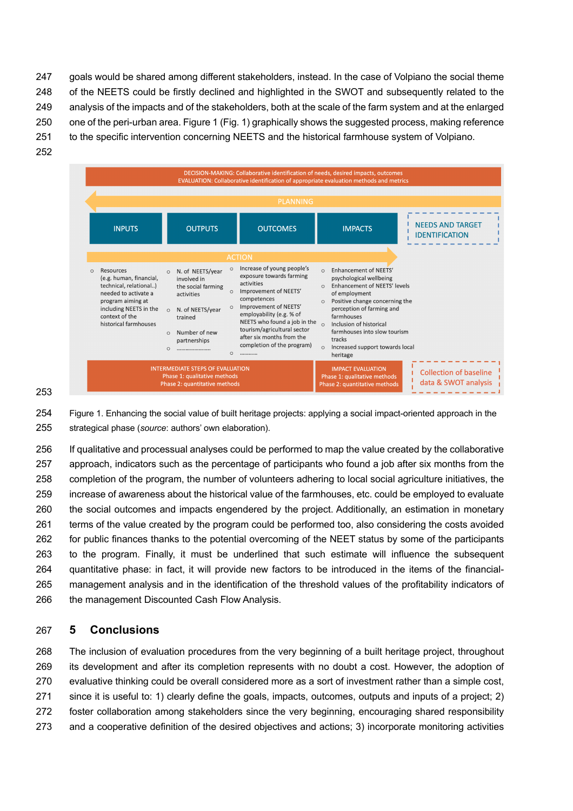goals would be shared among different stakeholders, instead. In the case of Volpiano the social theme of the NEETS could be firstly declined and highlighted in the SWOT and subsequently related to the analysis of the impacts and of the stakeholders, both at the scale of the farm system and at the enlarged one of the peri-urban area. Figure 1 (Fig. 1) graphically shows the suggested process, making reference to the specific intervention concerning NEETS and the historical farmhouse system of Volpiano.



 Figure 1. Enhancing the social value of built heritage projects: applying a social impact-oriented approach in the strategical phase (*source*: authors' own elaboration).

 If qualitative and processual analyses could be performed to map the value created by the collaborative approach, indicators such as the percentage of participants who found a job after six months from the completion of the program, the number of volunteers adhering to local social agriculture initiatives, the increase of awareness about the historical value of the farmhouses, etc. could be employed to evaluate the social outcomes and impacts engendered by the project. Additionally, an estimation in monetary terms of the value created by the program could be performed too, also considering the costs avoided for public finances thanks to the potential overcoming of the NEET status by some of the participants to the program. Finally, it must be underlined that such estimate will influence the subsequent quantitative phase: in fact, it will provide new factors to be introduced in the items of the financial- management analysis and in the identification of the threshold values of the profitability indicators of 266 the management Discounted Cash Flow Analysis.

## **5 Conclusions**

 The inclusion of evaluation procedures from the very beginning of a built heritage project, throughout its development and after its completion represents with no doubt a cost. However, the adoption of evaluative thinking could be overall considered more as a sort of investment rather than a simple cost, since it is useful to: 1) clearly define the goals, impacts, outcomes, outputs and inputs of a project; 2) foster collaboration among stakeholders since the very beginning, encouraging shared responsibility and a cooperative definition of the desired objectives and actions; 3) incorporate monitoring activities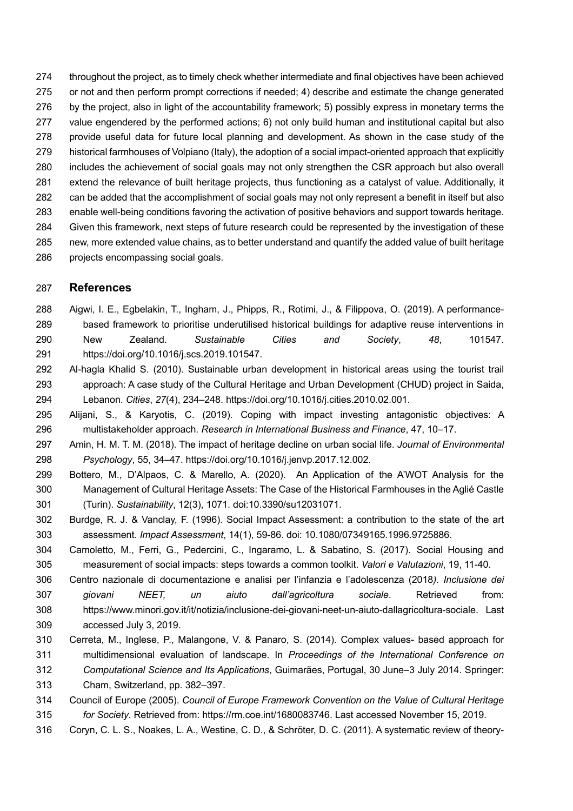throughout the project, as to timely check whether intermediate and final objectives have been achieved or not and then perform prompt corrections if needed; 4) describe and estimate the change generated by the project, also in light of the accountability framework; 5) possibly express in monetary terms the value engendered by the performed actions; 6) not only build human and institutional capital but also provide useful data for future local planning and development. As shown in the case study of the historical farmhouses of Volpiano (Italy), the adoption of a social impact-oriented approach that explicitly includes the achievement of social goals may not only strengthen the CSR approach but also overall extend the relevance of built heritage projects, thus functioning as a catalyst of value. Additionally, it can be added that the accomplishment of social goals may not only represent a benefit in itself but also enable well-being conditions favoring the activation of positive behaviors and support towards heritage. Given this framework, next steps of future research could be represented by the investigation of these new, more extended value chains, as to better understand and quantify the added value of built heritage projects encompassing social goals.

### **References**

- Aigwi, I. E., Egbelakin, T., Ingham, J., Phipps, R., Rotimi, J., & Filippova, O. (2019). A performance- based framework to prioritise underutilised historical buildings for adaptive reuse interventions in New Zealand. *Sustainable Cities and Society*, *48*, 101547. https://doi.org/10.1016/j.scs.2019.101547.
- Al-hagla Khalid S. (2010). Sustainable urban development in historical areas using the tourist trail approach: A case study of the Cultural Heritage and Urban Development (CHUD) project in Saida, Lebanon. *Cities*, *27*(4), 234–248. https://doi.org/10.1016/j.cities.2010.02.001.
- Alijani, S., & Karyotis, C. (2019). Coping with impact investing antagonistic objectives: A multistakeholder approach. *Research in International Business and Finance*, 47, 10–17.
- Amin, H. M. T. M. (2018). The impact of heritage decline on urban social life. *Journal of Environmental Psychology*, 55, 34–47. https://doi.org/10.1016/j.jenvp.2017.12.002.
- Bottero, M., D'Alpaos, C. & Marello, A. (2020). An Application of the A'WOT Analysis for the Management of Cultural Heritage Assets: The Case of the Historical Farmhouses in the Aglié Castle (Turin). *Sustainability*, 12(3), 1071. doi:10.3390/su12031071.
- Burdge, R. J. & Vanclay, F. (1996). Social Impact Assessment: a contribution to the state of the art assessment. *Impact Assessment*, 14(1), 59-86. doi: 10.1080/07349165.1996.9725886.
- Camoletto, M., Ferri, G., Pedercini, C., Ingaramo, L. & Sabatino, S. (2017). Social Housing and measurement of social impacts: steps towards a common toolkit. *Valori e Valutazioni*, 19, 11-40.
- Centro nazionale di documentazione e analisi per l'infanzia e l'adolescenza (2018*). Inclusione dei giovani NEET, un aiuto dall'agricoltura sociale*. Retrieved from: https://www.minori.gov.it/it/notizia/inclusione-dei-giovani-neet-un-aiuto-dallagricoltura-sociale. Last accessed July 3, 2019.
- Cerreta, M., Inglese, P., Malangone, V. & Panaro, S. (2014). Complex values- based approach for multidimensional evaluation of landscape. In *Proceedings of the International Conference on Computational Science and Its Applications*, Guimarães, Portugal, 30 June–3 July 2014. Springer:
- Cham, Switzerland, pp. 382–397.
- Council of Europe (2005). *Council of Europe Framework Convention on the Value of Cultural Heritage for Society*. Retrieved from: https://rm.coe.int/1680083746. Last accessed November 15, 2019.
- Coryn, C. L. S., Noakes, L. A., Westine, C. D., & Schröter, D. C. (2011). A systematic review of theory-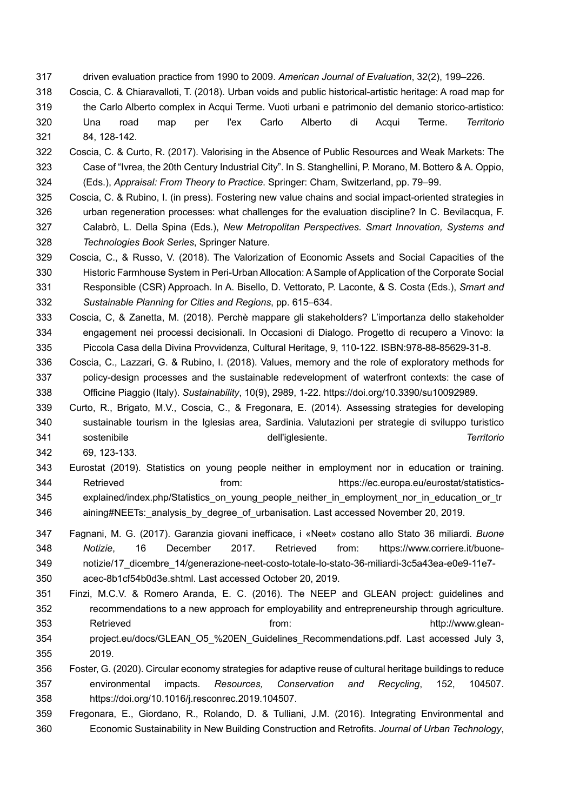- driven evaluation practice from 1990 to 2009. *American Journal of Evaluation*, 32(2), 199–226.
- Coscia, C. & Chiaravalloti, T. (2018). Urban voids and public historical-artistic heritage: A road map for the Carlo Alberto complex in Acqui Terme. Vuoti urbani e patrimonio del demanio storico-artistico: Una road map per l'ex Carlo Alberto di Acqui Terme. *Territorio* 84, 128-142.
- Coscia, C. & Curto, R. (2017). Valorising in the Absence of Public Resources and Weak Markets: The Case of "Ivrea, the 20th Century Industrial City". In S. Stanghellini, P. Morano, M. Bottero & A. Oppio, (Eds.), *Appraisal: From Theory to Practice*. Springer: Cham, Switzerland, pp. 79–99.
- Coscia, C. & Rubino, I. (in press). Fostering new value chains and social impact-oriented strategies in urban regeneration processes: what challenges for the evaluation discipline? In C. Bevilacqua, F. Calabrò, L. Della Spina (Eds*.*), *New Metropolitan Perspectives. Smart Innovation, Systems and Technologies Book Series*, Springer Nature.
- Coscia, C., & Russo, V. (2018). The Valorization of Economic Assets and Social Capacities of the Historic Farmhouse System in Peri-Urban Allocation: A Sample of Application of the Corporate Social Responsible (CSR) Approach. In A. Bisello, D. Vettorato, P. Laconte, & S. Costa (Eds.), *Smart and Sustainable Planning for Cities and Regions*, pp. 615–634.
- Coscia, C, & Zanetta, M. (2018). Perchè mappare gli stakeholders? L'importanza dello stakeholder engagement nei processi decisionali. In Occasioni di Dialogo. Progetto di recupero a Vinovo: la Piccola Casa della Divina Provvidenza, Cultural Heritage, 9, 110-122. ISBN:978-88-85629-31-8.
- Coscia, C., Lazzari, G. & Rubino, I. (2018). Values, memory and the role of exploratory methods for policy-design processes and the sustainable redevelopment of waterfront contexts: the case of Officine Piaggio (Italy). *Sustainability*, 10(9), 2989, 1-22. https://doi.org/10.3390/su10092989.
- Curto, R., Brigato, M.V., Coscia, C., & Fregonara, E. (2014). Assessing strategies for developing sustainable tourism in the Iglesias area, Sardinia. Valutazioni per strategie di sviluppo turistico sostenibile dell'iglesiente. *Territorio*
- 69, 123-133.
- Eurostat (2019). Statistics on young people neither in employment nor in education or training. Retrieved from: https://ec.europa.eu/eurostat/statistics-345 explained/index.php/Statistics\_on\_young\_people\_neither\_in\_employment\_nor\_in\_education\_or\_tr aining#NEETs:\_analysis\_by\_degree\_of\_urbanisation. Last accessed November 20, 2019.
- Fagnani, M. G. (2017). Garanzia giovani inefficace, i «Neet» costano allo Stato 36 miliardi. *Buone Notizie*, 16 December 2017. Retrieved from: https://www.corriere.it/buone- notizie/17\_dicembre\_14/generazione-neet-costo-totale-lo-stato-36-miliardi-3c5a43ea-e0e9-11e7- acec-8b1cf54b0d3e.shtml. Last accessed October 20, 2019.
- Finzi, M.C.V. & Romero Aranda, E. C. (2016). The NEEP and GLEAN project: guidelines and recommendations to a new approach for employability and entrepreneurship through agriculture. Retrieved from: http://www.glean- project.eu/docs/GLEAN\_O5\_%20EN\_Guidelines\_Recommendations.pdf. Last accessed July 3, 2019.
- Foster, G. (2020). Circular economy strategies for adaptive reuse of cultural heritage buildings to reduce environmental impacts. *Resources, Conservation and Recycling*, 152, 104507. https://doi.org/10.1016/j.resconrec.2019.104507.
- Fregonara, E., Giordano, R., Rolando, D. & Tulliani, J.M. (2016). Integrating Environmental and Economic Sustainability in New Building Construction and Retrofits. *Journal of Urban Technology*,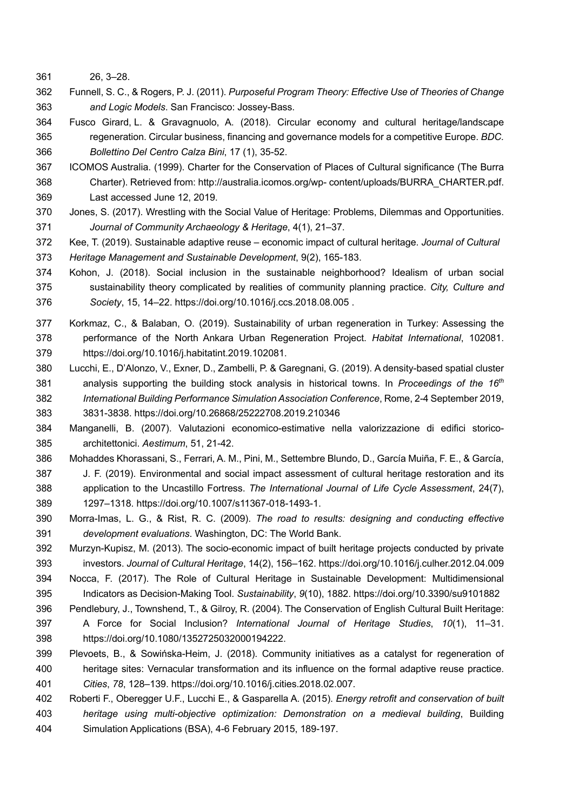- 26, 3–28.
- Funnell, S. C., & Rogers, P. J. (2011). *Purposeful Program Theory: Effective Use of Theories of Change and Logic Models*. San Francisco: Jossey-Bass.
- Fusco Girard, L. & Gravagnuolo, A. (2018). Circular economy and cultural heritage/landscape regeneration. Circular business, financing and governance models for a competitive Europe. *BDC. Bollettino Del Centro Calza Bini*, 17 (1), 35-52.
- ICOMOS Australia. (1999). Charter for the Conservation of Places of Cultural significance (The Burra
- Charter). Retrieved from: http://australia.icomos.org/wp- content/uploads/BURRA\_CHARTER.pdf. Last accessed June 12, 2019.
- Jones, S. (2017). Wrestling with the Social Value of Heritage: Problems, Dilemmas and Opportunities. *Journal of Community Archaeology & Heritage*, 4(1), 21–37.
- Kee, T. (2019). Sustainable adaptive reuse economic impact of cultural heritage. *Journal of Cultural Heritage Management and Sustainable Development*, 9(2), 165-183.
- Kohon, J. (2018). Social inclusion in the sustainable neighborhood? Idealism of urban social sustainability theory complicated by realities of community planning practice. *City, Culture and Society*, 15, 14–22. https://doi.org/10.1016/j.ccs.2018.08.005 .
- Korkmaz, C., & Balaban, O. (2019). Sustainability of urban regeneration in Turkey: Assessing the performance of the North Ankara Urban Regeneration Project. *Habitat International*, 102081. https://doi.org/10.1016/j.habitatint.2019.102081.
- Lucchi, E., D'Alonzo, V., Exner, D., Zambelli, P. & Garegnani, G. (2019). A density-based spatial cluster analysis supporting the building stock analysis in historical towns. In *Proceedings of the 16th International Building Performance Simulation Association Conference*, Rome, 2-4 September 2019, 3831-3838. https://doi.org/10.26868/25222708.2019.210346
- Manganelli, B. (2007). Valutazioni economico-estimative nella valorizzazione di edifici storico-architettonici. *Aestimum*, 51, 21-42.
- Mohaddes Khorassani, S., Ferrari, A. M., Pini, M., Settembre Blundo, D., García Muiña, F. E., & García, 387 J. F. (2019). Environmental and social impact assessment of cultural heritage restoration and its
- application to the Uncastillo Fortress. *The International Journal of Life Cycle Assessment*, 24(7), 1297–1318. https://doi.org/10.1007/s11367-018-1493-1.
- Morra-Imas, L. G., & Rist, R. C. (2009). *The road to results: designing and conducting effective development evaluations*. Washington, DC: The World Bank.
- Murzyn-Kupisz, M. (2013). The socio-economic impact of built heritage projects conducted by private investors. *Journal of Cultural Heritage*, 14(2), 156–162. https://doi.org/10.1016/j.culher.2012.04.009
- Nocca, F. (2017). The Role of Cultural Heritage in Sustainable Development: Multidimensional Indicators as Decision-Making Tool. *Sustainability*, *9*(10), 1882. https://doi.org/10.3390/su9101882
- Pendlebury, J., Townshend, T., & Gilroy, R. (2004). The Conservation of English Cultural Built Heritage: A Force for Social Inclusion? *International Journal of Heritage Studies*, *10*(1), 11–31. https://doi.org/10.1080/1352725032000194222.
- Plevoets, B., & Sowińska-Heim, J. (2018). Community initiatives as a catalyst for regeneration of heritage sites: Vernacular transformation and its influence on the formal adaptive reuse practice. *Cities*, *78*, 128–139. https://doi.org/10.1016/j.cities.2018.02.007.
- Roberti F., Oberegger U.F., Lucchi E., & Gasparella A. (2015). *Energy retrofit and conservation of built heritage using multi-objective optimization: Demonstration on a medieval building*, Building Simulation Applications (BSA), 4-6 February 2015, 189-197.